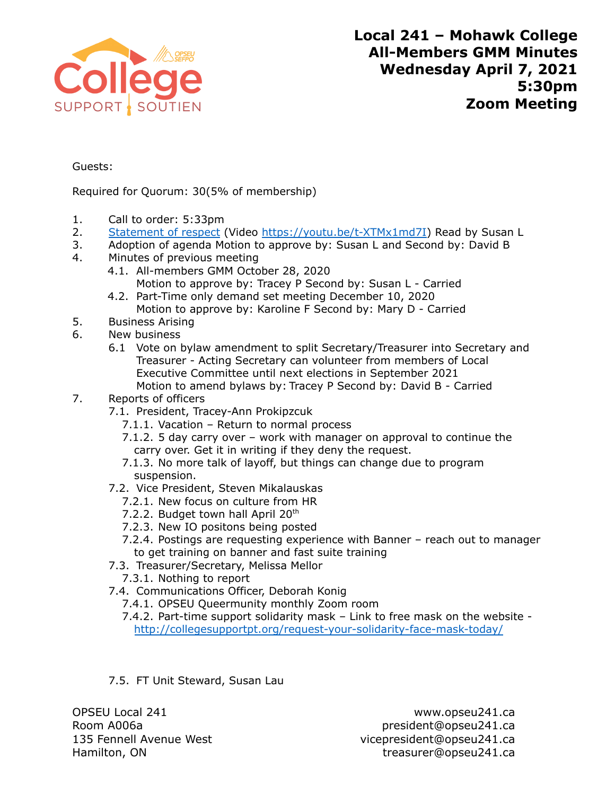

Guests:

Required for Quorum: 30(5% of membership)

- 1. Call to order: 5:33pm
- 2. [Statement of respect](https://opseu.org/information/tools-and-resources/statement-of-respect/9709/) (Video [https://youtu.be/t-XTMx1md7I\)](https://youtu.be/t-XTMx1md7I) Read by Susan L
- 3. Adoption of agenda Motion to approve by: Susan L and Second by: David B
- 4. Minutes of previous meeting
	- 4.1. All-members GMM October 28, 2020 Motion to approve by: Tracey P Second by: Susan L - Carried
	- 4.2. Part-Time only demand set meeting December 10, 2020 Motion to approve by: Karoline F Second by: Mary D - Carried
- 5. Business Arising
- 6. New business
	- 6.1 Vote on bylaw amendment to split Secretary/Treasurer into Secretary and Treasurer - Acting Secretary can volunteer from members of Local Executive Committee until next elections in September 2021 Motion to amend bylaws by: Tracey P Second by: David B - Carried

## 7. Reports of officers

- 7.1. President, Tracey-Ann Prokipzcuk
	- 7.1.1. Vacation Return to normal process
	- 7.1.2. 5 day carry over work with manager on approval to continue the carry over. Get it in writing if they deny the request.
	- 7.1.3. No more talk of layoff, but things can change due to program suspension.
- 7.2. Vice President, Steven Mikalauskas
	- 7.2.1. New focus on culture from HR
	- 7.2.2. Budget town hall April 20<sup>th</sup>
	- 7.2.3. New IO positons being posted
	- 7.2.4. Postings are requesting experience with Banner reach out to manager to get training on banner and fast suite training
- 7.3. Treasurer/Secretary, Melissa Mellor
	- 7.3.1. Nothing to report
- 7.4. Communications Officer, Deborah Konig
	- 7.4.1. OPSEU Queermunity monthly Zoom room
	- 7.4.2. Part-time support solidarity mask Link to free mask on the website <http://collegesupportpt.org/request-your-solidarity-face-mask-today/>
- 7.5. FT Unit Steward, Susan Lau

OPSEU Local 241 www.opseu241.ca

Room A006a **president@opseu241.ca** 135 Fennell Avenue West vicepresident@opseu241.ca Hamilton, ON treasurer@opseu241.ca